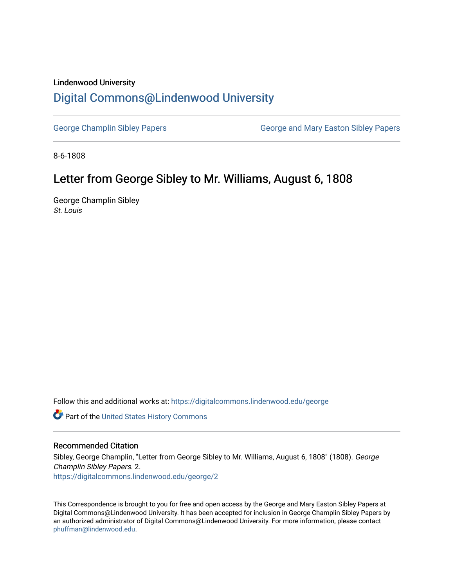## Lindenwood University

## [Digital Commons@Lindenwood University](https://digitalcommons.lindenwood.edu/)

[George Champlin Sibley Papers](https://digitalcommons.lindenwood.edu/george) George and Mary Easton Sibley Papers

8-6-1808

## Letter from George Sibley to Mr. Williams, August 6, 1808

George Champlin Sibley St. Louis

Follow this and additional works at: [https://digitalcommons.lindenwood.edu/george](https://digitalcommons.lindenwood.edu/george?utm_source=digitalcommons.lindenwood.edu%2Fgeorge%2F2&utm_medium=PDF&utm_campaign=PDFCoverPages)

Part of the [United States History Commons](http://network.bepress.com/hgg/discipline/495?utm_source=digitalcommons.lindenwood.edu%2Fgeorge%2F2&utm_medium=PDF&utm_campaign=PDFCoverPages) 

## Recommended Citation

Sibley, George Champlin, "Letter from George Sibley to Mr. Williams, August 6, 1808" (1808). George Champlin Sibley Papers. 2. [https://digitalcommons.lindenwood.edu/george/2](https://digitalcommons.lindenwood.edu/george/2?utm_source=digitalcommons.lindenwood.edu%2Fgeorge%2F2&utm_medium=PDF&utm_campaign=PDFCoverPages)

This Correspondence is brought to you for free and open access by the George and Mary Easton Sibley Papers at Digital Commons@Lindenwood University. It has been accepted for inclusion in George Champlin Sibley Papers by an authorized administrator of Digital Commons@Lindenwood University. For more information, please contact [phuffman@lindenwood.edu](mailto:phuffman@lindenwood.edu).